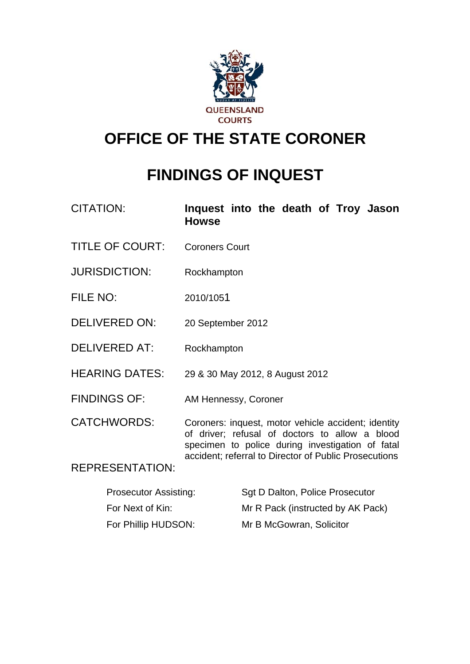

# **OFFICE OF THE STATE CORONER**

# **FINDINGS OF INQUEST**

| <b>CITATION:</b>       | Inquest into the death of Troy Jason<br><b>Howse</b>                                                                                                                                                               |
|------------------------|--------------------------------------------------------------------------------------------------------------------------------------------------------------------------------------------------------------------|
| <b>TITLE OF COURT:</b> | <b>Coroners Court</b>                                                                                                                                                                                              |
| <b>JURISDICTION:</b>   | Rockhampton                                                                                                                                                                                                        |
| FILE NO:               | 2010/1051                                                                                                                                                                                                          |
| <b>DELIVERED ON:</b>   | 20 September 2012                                                                                                                                                                                                  |
| <b>DELIVERED AT:</b>   | Rockhampton                                                                                                                                                                                                        |
| <b>HEARING DATES:</b>  | 29 & 30 May 2012, 8 August 2012                                                                                                                                                                                    |
| <b>FINDINGS OF:</b>    | AM Hennessy, Coroner                                                                                                                                                                                               |
| <b>CATCHWORDS:</b>     | Coroners: inquest, motor vehicle accident; identity<br>of driver; refusal of doctors to allow a blood<br>specimen to police during investigation of fatal<br>accident; referral to Director of Public Prosecutions |
| <b>REPRESENTATION:</b> |                                                                                                                                                                                                                    |

| <b>Prosecutor Assisting:</b> | Sqt D Dalton, Police Prosecutor   |
|------------------------------|-----------------------------------|
| For Next of Kin:             | Mr R Pack (instructed by AK Pack) |
| For Phillip HUDSON:          | Mr B McGowran, Solicitor          |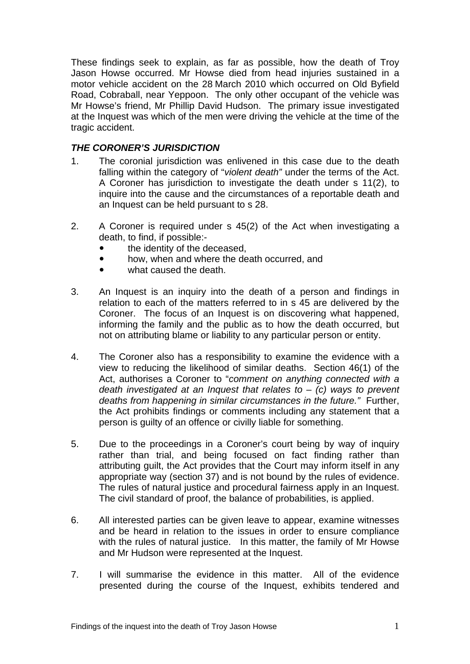These findings seek to explain, as far as possible, how the death of Troy Jason Howse occurred. Mr Howse died from head injuries sustained in a motor vehicle accident on the 28 March 2010 which occurred on Old Byfield Road, Cobraball, near Yeppoon. The only other occupant of the vehicle was Mr Howse's friend, Mr Phillip David Hudson. The primary issue investigated at the Inquest was which of the men were driving the vehicle at the time of the tragic accident.

### *THE CORONER'S JURISDICTION*

- 1. The coronial jurisdiction was enlivened in this case due to the death falling within the category of "*violent death"* under the terms of the Act. A Coroner has jurisdiction to investigate the death under s 11(2), to inquire into the cause and the circumstances of a reportable death and an Inquest can be held pursuant to s 28.
- 2. A Coroner is required under s 45(2) of the Act when investigating a death, to find, if possible:-
	- the identity of the deceased.
	- how, when and where the death occurred, and
	- what caused the death.
- 3. An Inquest is an inquiry into the death of a person and findings in relation to each of the matters referred to in s 45 are delivered by the Coroner. The focus of an Inquest is on discovering what happened, informing the family and the public as to how the death occurred, but not on attributing blame or liability to any particular person or entity.
- 4. The Coroner also has a responsibility to examine the evidence with a view to reducing the likelihood of similar deaths. Section 46(1) of the Act, authorises a Coroner to "*comment on anything connected with a death investigated at an Inquest that relates to* – *(c) ways to prevent deaths from happening in similar circumstances in the future."* Further, the Act prohibits findings or comments including any statement that a person is guilty of an offence or civilly liable for something.
- 5. Due to the proceedings in a Coroner's court being by way of inquiry rather than trial, and being focused on fact finding rather than attributing guilt, the Act provides that the Court may inform itself in any appropriate way (section 37) and is not bound by the rules of evidence. The rules of natural justice and procedural fairness apply in an Inquest. The civil standard of proof, the balance of probabilities, is applied.
- 6. All interested parties can be given leave to appear, examine witnesses and be heard in relation to the issues in order to ensure compliance with the rules of natural justice. In this matter, the family of Mr Howse and Mr Hudson were represented at the Inquest.
- 7. I will summarise the evidence in this matter. All of the evidence presented during the course of the Inquest, exhibits tendered and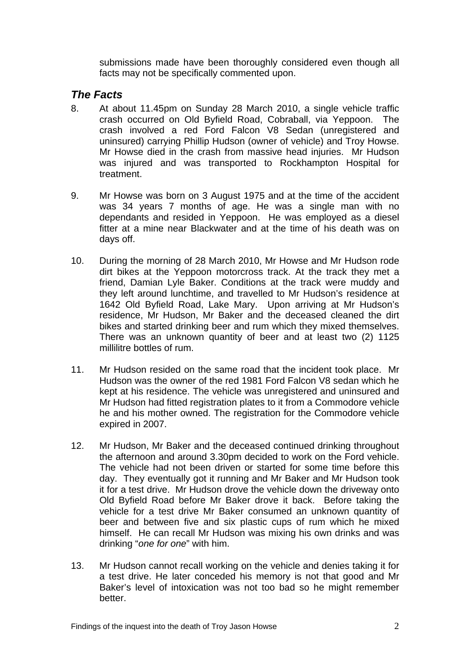submissions made have been thoroughly considered even though all facts may not be specifically commented upon.

## *The Facts*

- 8. At about 11.45pm on Sunday 28 March 2010, a single vehicle traffic crash occurred on Old Byfield Road, Cobraball, via Yeppoon. The crash involved a red Ford Falcon V8 Sedan (unregistered and uninsured) carrying Phillip Hudson (owner of vehicle) and Troy Howse. Mr Howse died in the crash from massive head injuries. Mr Hudson was injured and was transported to Rockhampton Hospital for treatment.
- 9. Mr Howse was born on 3 August 1975 and at the time of the accident was 34 years 7 months of age. He was a single man with no dependants and resided in Yeppoon. He was employed as a diesel fitter at a mine near Blackwater and at the time of his death was on days off.
- 10. During the morning of 28 March 2010, Mr Howse and Mr Hudson rode dirt bikes at the Yeppoon motorcross track. At the track they met a friend, Damian Lyle Baker. Conditions at the track were muddy and they left around lunchtime, and travelled to Mr Hudson's residence at 1642 Old Byfield Road, Lake Mary. Upon arriving at Mr Hudson's residence, Mr Hudson, Mr Baker and the deceased cleaned the dirt bikes and started drinking beer and rum which they mixed themselves. There was an unknown quantity of beer and at least two (2) 1125 millilitre bottles of rum.
- 11. Mr Hudson resided on the same road that the incident took place. Mr Hudson was the owner of the red 1981 Ford Falcon V8 sedan which he kept at his residence. The vehicle was unregistered and uninsured and Mr Hudson had fitted registration plates to it from a Commodore vehicle he and his mother owned. The registration for the Commodore vehicle expired in 2007.
- 12. Mr Hudson, Mr Baker and the deceased continued drinking throughout the afternoon and around 3.30pm decided to work on the Ford vehicle. The vehicle had not been driven or started for some time before this day. They eventually got it running and Mr Baker and Mr Hudson took it for a test drive. Mr Hudson drove the vehicle down the driveway onto Old Byfield Road before Mr Baker drove it back. Before taking the vehicle for a test drive Mr Baker consumed an unknown quantity of beer and between five and six plastic cups of rum which he mixed himself. He can recall Mr Hudson was mixing his own drinks and was drinking "*one for one*" with him.
- 13. Mr Hudson cannot recall working on the vehicle and denies taking it for a test drive. He later conceded his memory is not that good and Mr Baker's level of intoxication was not too bad so he might remember better.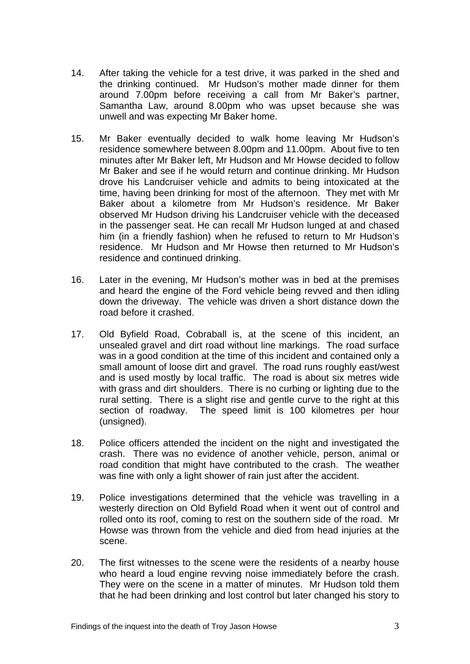- 14. After taking the vehicle for a test drive, it was parked in the shed and the drinking continued. Mr Hudson's mother made dinner for them around 7.00pm before receiving a call from Mr Baker's partner, Samantha Law, around 8.00pm who was upset because she was unwell and was expecting Mr Baker home.
- 15. Mr Baker eventually decided to walk home leaving Mr Hudson's residence somewhere between 8.00pm and 11.00pm. About five to ten minutes after Mr Baker left, Mr Hudson and Mr Howse decided to follow Mr Baker and see if he would return and continue drinking. Mr Hudson drove his Landcruiser vehicle and admits to being intoxicated at the time, having been drinking for most of the afternoon. They met with Mr Baker about a kilometre from Mr Hudson's residence. Mr Baker observed Mr Hudson driving his Landcruiser vehicle with the deceased in the passenger seat. He can recall Mr Hudson lunged at and chased him (in a friendly fashion) when he refused to return to Mr Hudson's residence. Mr Hudson and Mr Howse then returned to Mr Hudson's residence and continued drinking.
- 16. Later in the evening, Mr Hudson's mother was in bed at the premises and heard the engine of the Ford vehicle being revved and then idling down the driveway. The vehicle was driven a short distance down the road before it crashed.
- 17. Old Byfield Road, Cobraball is, at the scene of this incident, an unsealed gravel and dirt road without line markings. The road surface was in a good condition at the time of this incident and contained only a small amount of loose dirt and gravel. The road runs roughly east/west and is used mostly by local traffic. The road is about six metres wide with grass and dirt shoulders. There is no curbing or lighting due to the rural setting. There is a slight rise and gentle curve to the right at this section of roadway. The speed limit is 100 kilometres per hour (unsigned).
- 18. Police officers attended the incident on the night and investigated the crash. There was no evidence of another vehicle, person, animal or road condition that might have contributed to the crash. The weather was fine with only a light shower of rain just after the accident.
- 19. Police investigations determined that the vehicle was travelling in a westerly direction on Old Byfield Road when it went out of control and rolled onto its roof, coming to rest on the southern side of the road. Mr Howse was thrown from the vehicle and died from head injuries at the scene.
- 20. The first witnesses to the scene were the residents of a nearby house who heard a loud engine revving noise immediately before the crash. They were on the scene in a matter of minutes. Mr Hudson told them that he had been drinking and lost control but later changed his story to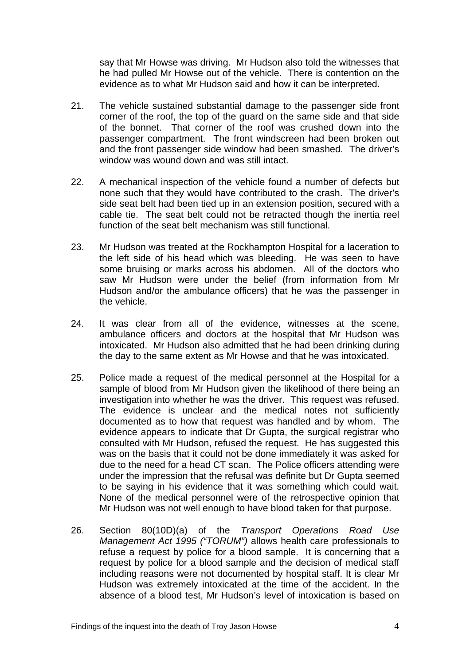say that Mr Howse was driving. Mr Hudson also told the witnesses that he had pulled Mr Howse out of the vehicle. There is contention on the evidence as to what Mr Hudson said and how it can be interpreted.

- 21. The vehicle sustained substantial damage to the passenger side front corner of the roof, the top of the guard on the same side and that side of the bonnet. That corner of the roof was crushed down into the passenger compartment. The front windscreen had been broken out and the front passenger side window had been smashed. The driver's window was wound down and was still intact.
- 22. A mechanical inspection of the vehicle found a number of defects but none such that they would have contributed to the crash. The driver's side seat belt had been tied up in an extension position, secured with a cable tie. The seat belt could not be retracted though the inertia reel function of the seat belt mechanism was still functional.
- 23. Mr Hudson was treated at the Rockhampton Hospital for a laceration to the left side of his head which was bleeding. He was seen to have some bruising or marks across his abdomen. All of the doctors who saw Mr Hudson were under the belief (from information from Mr Hudson and/or the ambulance officers) that he was the passenger in the vehicle.
- 24. It was clear from all of the evidence, witnesses at the scene, ambulance officers and doctors at the hospital that Mr Hudson was intoxicated. Mr Hudson also admitted that he had been drinking during the day to the same extent as Mr Howse and that he was intoxicated.
- 25. Police made a request of the medical personnel at the Hospital for a sample of blood from Mr Hudson given the likelihood of there being an investigation into whether he was the driver. This request was refused. The evidence is unclear and the medical notes not sufficiently documented as to how that request was handled and by whom. The evidence appears to indicate that Dr Gupta, the surgical registrar who consulted with Mr Hudson, refused the request. He has suggested this was on the basis that it could not be done immediately it was asked for due to the need for a head CT scan. The Police officers attending were under the impression that the refusal was definite but Dr Gupta seemed to be saying in his evidence that it was something which could wait. None of the medical personnel were of the retrospective opinion that Mr Hudson was not well enough to have blood taken for that purpose.
- 26. Section 80(10D)(a) of the *Transport Operations Road Use Management Act 1995 ("TORUM")* allows health care professionals to refuse a request by police for a blood sample. It is concerning that a request by police for a blood sample and the decision of medical staff including reasons were not documented by hospital staff. It is clear Mr Hudson was extremely intoxicated at the time of the accident. In the absence of a blood test, Mr Hudson's level of intoxication is based on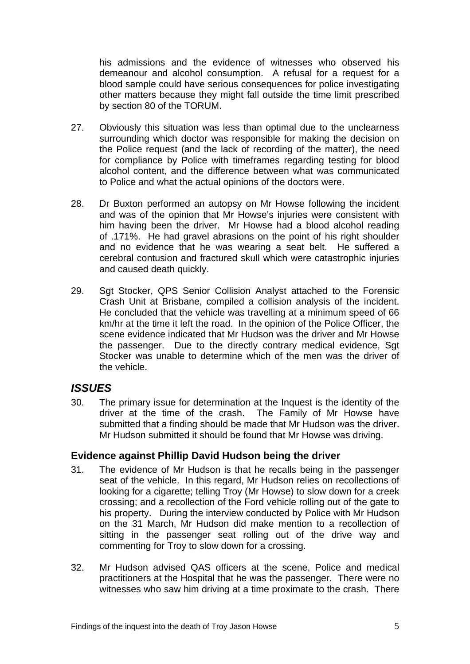his admissions and the evidence of witnesses who observed his demeanour and alcohol consumption. A refusal for a request for a blood sample could have serious consequences for police investigating other matters because they might fall outside the time limit prescribed by section 80 of the TORUM.

- 27. Obviously this situation was less than optimal due to the unclearness surrounding which doctor was responsible for making the decision on the Police request (and the lack of recording of the matter), the need for compliance by Police with timeframes regarding testing for blood alcohol content, and the difference between what was communicated to Police and what the actual opinions of the doctors were.
- 28. Dr Buxton performed an autopsy on Mr Howse following the incident and was of the opinion that Mr Howse's injuries were consistent with him having been the driver. Mr Howse had a blood alcohol reading of .171%. He had gravel abrasions on the point of his right shoulder and no evidence that he was wearing a seat belt. He suffered a cerebral contusion and fractured skull which were catastrophic injuries and caused death quickly.
- 29. Sat Stocker, QPS Senior Collision Analyst attached to the Forensic Crash Unit at Brisbane, compiled a collision analysis of the incident. He concluded that the vehicle was travelling at a minimum speed of 66 km/hr at the time it left the road. In the opinion of the Police Officer, the scene evidence indicated that Mr Hudson was the driver and Mr Howse the passenger. Due to the directly contrary medical evidence. Sgt Stocker was unable to determine which of the men was the driver of the vehicle.

## *ISSUES*

30. The primary issue for determination at the Inquest is the identity of the driver at the time of the crash. The Family of Mr Howse have submitted that a finding should be made that Mr Hudson was the driver. Mr Hudson submitted it should be found that Mr Howse was driving.

## **Evidence against Phillip David Hudson being the driver**

- 31. The evidence of Mr Hudson is that he recalls being in the passenger seat of the vehicle. In this regard, Mr Hudson relies on recollections of looking for a cigarette; telling Troy (Mr Howse) to slow down for a creek crossing; and a recollection of the Ford vehicle rolling out of the gate to his property. During the interview conducted by Police with Mr Hudson on the 31 March, Mr Hudson did make mention to a recollection of sitting in the passenger seat rolling out of the drive way and commenting for Troy to slow down for a crossing.
- 32. Mr Hudson advised QAS officers at the scene, Police and medical practitioners at the Hospital that he was the passenger. There were no witnesses who saw him driving at a time proximate to the crash. There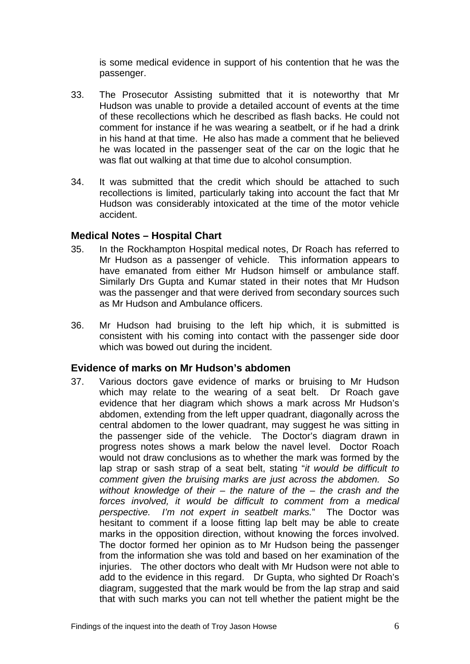is some medical evidence in support of his contention that he was the passenger.

- 33. The Prosecutor Assisting submitted that it is noteworthy that Mr Hudson was unable to provide a detailed account of events at the time of these recollections which he described as flash backs. He could not comment for instance if he was wearing a seatbelt, or if he had a drink in his hand at that time. He also has made a comment that he believed he was located in the passenger seat of the car on the logic that he was flat out walking at that time due to alcohol consumption.
- 34. It was submitted that the credit which should be attached to such recollections is limited, particularly taking into account the fact that Mr Hudson was considerably intoxicated at the time of the motor vehicle accident.

#### **Medical Notes – Hospital Chart**

- 35. In the Rockhampton Hospital medical notes, Dr Roach has referred to Mr Hudson as a passenger of vehicle. This information appears to have emanated from either Mr Hudson himself or ambulance staff. Similarly Drs Gupta and Kumar stated in their notes that Mr Hudson was the passenger and that were derived from secondary sources such as Mr Hudson and Ambulance officers.
- 36. Mr Hudson had bruising to the left hip which, it is submitted is consistent with his coming into contact with the passenger side door which was bowed out during the incident.

#### **Evidence of marks on Mr Hudson's abdomen**

37. Various doctors gave evidence of marks or bruising to Mr Hudson which may relate to the wearing of a seat belt. Dr Roach gave evidence that her diagram which shows a mark across Mr Hudson's abdomen, extending from the left upper quadrant, diagonally across the central abdomen to the lower quadrant, may suggest he was sitting in the passenger side of the vehicle. The Doctor's diagram drawn in progress notes shows a mark below the navel level. Doctor Roach would not draw conclusions as to whether the mark was formed by the lap strap or sash strap of a seat belt, stating "*it would be difficult to comment given the bruising marks are just across the abdomen. So without knowledge of their – the nature of the – the crash and the forces involved, it would be difficult to comment from a medical perspective. I'm not expert in seatbelt marks.*" The Doctor was hesitant to comment if a loose fitting lap belt may be able to create marks in the opposition direction, without knowing the forces involved. The doctor formed her opinion as to Mr Hudson being the passenger from the information she was told and based on her examination of the injuries. The other doctors who dealt with Mr Hudson were not able to add to the evidence in this regard. Dr Gupta, who sighted Dr Roach's diagram, suggested that the mark would be from the lap strap and said that with such marks you can not tell whether the patient might be the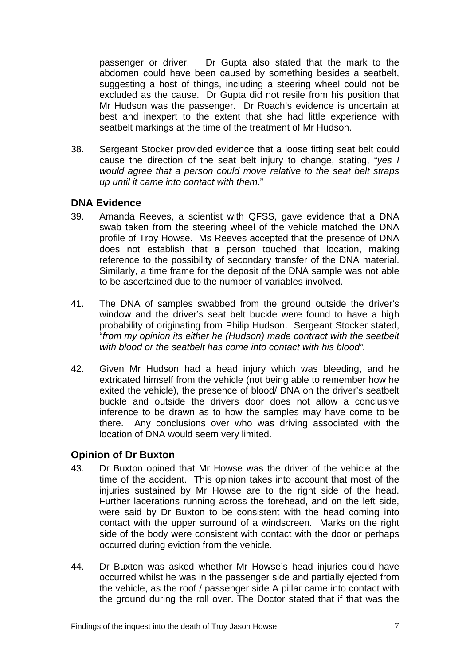passenger or driver. Dr Gupta also stated that the mark to the abdomen could have been caused by something besides a seatbelt, suggesting a host of things, including a steering wheel could not be excluded as the cause. Dr Gupta did not resile from his position that Mr Hudson was the passenger. Dr Roach's evidence is uncertain at best and inexpert to the extent that she had little experience with seatbelt markings at the time of the treatment of Mr Hudson.

38. Sergeant Stocker provided evidence that a loose fitting seat belt could cause the direction of the seat belt injury to change, stating, "*yes I would agree that a person could move relative to the seat belt straps up until it came into contact with them*."

## **DNA Evidence**

- 39. Amanda Reeves, a scientist with QFSS, gave evidence that a DNA swab taken from the steering wheel of the vehicle matched the DNA profile of Troy Howse. Ms Reeves accepted that the presence of DNA does not establish that a person touched that location, making reference to the possibility of secondary transfer of the DNA material. Similarly, a time frame for the deposit of the DNA sample was not able to be ascertained due to the number of variables involved.
- 41. The DNA of samples swabbed from the ground outside the driver's window and the driver's seat belt buckle were found to have a high probability of originating from Philip Hudson. Sergeant Stocker stated, "*from my opinion its either he (Hudson) made contract with the seatbelt with blood or the seatbelt has come into contact with his blood".*
- 42. Given Mr Hudson had a head injury which was bleeding, and he extricated himself from the vehicle (not being able to remember how he exited the vehicle), the presence of blood/ DNA on the driver's seatbelt buckle and outside the drivers door does not allow a conclusive inference to be drawn as to how the samples may have come to be there. Any conclusions over who was driving associated with the location of DNA would seem very limited.

## **Opinion of Dr Buxton**

- 43. Dr Buxton opined that Mr Howse was the driver of the vehicle at the time of the accident. This opinion takes into account that most of the injuries sustained by Mr Howse are to the right side of the head. Further lacerations running across the forehead, and on the left side, were said by Dr Buxton to be consistent with the head coming into contact with the upper surround of a windscreen. Marks on the right side of the body were consistent with contact with the door or perhaps occurred during eviction from the vehicle.
- 44. Dr Buxton was asked whether Mr Howse's head injuries could have occurred whilst he was in the passenger side and partially ejected from the vehicle, as the roof / passenger side A pillar came into contact with the ground during the roll over. The Doctor stated that if that was the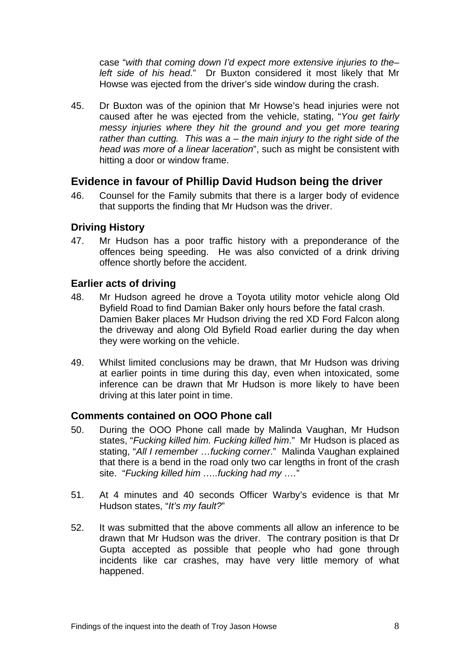case "*with that coming down I'd expect more extensive injuries to the– left side of his head*." Dr Buxton considered it most likely that Mr Howse was ejected from the driver's side window during the crash.

45. Dr Buxton was of the opinion that Mr Howse's head injuries were not caused after he was ejected from the vehicle, stating, "*You get fairly messy injuries where they hit the ground and you get more tearing rather than cutting. This was a – the main injury to the right side of the head was more of a linear laceration*", such as might be consistent with hitting a door or window frame.

## **Evidence in favour of Phillip David Hudson being the driver**

46. Counsel for the Family submits that there is a larger body of evidence that supports the finding that Mr Hudson was the driver.

#### **Driving History**

47. Mr Hudson has a poor traffic history with a preponderance of the offences being speeding. He was also convicted of a drink driving offence shortly before the accident.

#### **Earlier acts of driving**

- 48. Mr Hudson agreed he drove a Toyota utility motor vehicle along Old Byfield Road to find Damian Baker only hours before the fatal crash. Damien Baker places Mr Hudson driving the red XD Ford Falcon along the driveway and along Old Byfield Road earlier during the day when they were working on the vehicle.
- 49. Whilst limited conclusions may be drawn, that Mr Hudson was driving at earlier points in time during this day, even when intoxicated, some inference can be drawn that Mr Hudson is more likely to have been driving at this later point in time.

#### **Comments contained on OOO Phone call**

- 50. During the OOO Phone call made by Malinda Vaughan, Mr Hudson states, "*Fucking killed him. Fucking killed him*." Mr Hudson is placed as stating, "*All I remember …fucking corner*." Malinda Vaughan explained that there is a bend in the road only two car lengths in front of the crash site. "*Fucking killed him …..fucking had my ….*"
- 51. At 4 minutes and 40 seconds Officer Warby's evidence is that Mr Hudson states, "*It's my fault?*"
- 52. It was submitted that the above comments all allow an inference to be drawn that Mr Hudson was the driver. The contrary position is that Dr Gupta accepted as possible that people who had gone through incidents like car crashes, may have very little memory of what happened.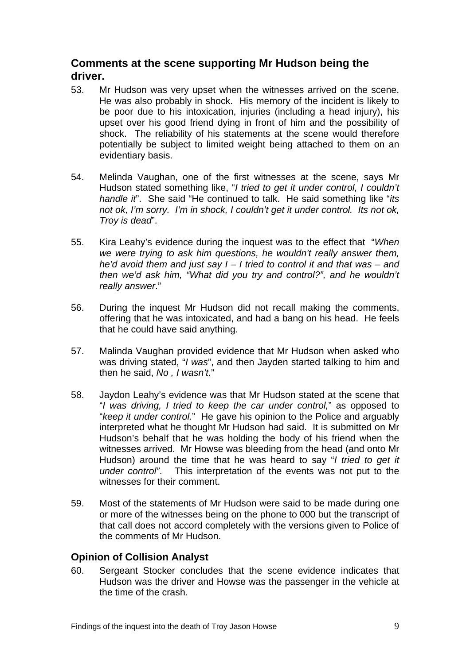# **Comments at the scene supporting Mr Hudson being the driver.**

- 53. Mr Hudson was very upset when the witnesses arrived on the scene. He was also probably in shock. His memory of the incident is likely to be poor due to his intoxication, injuries (including a head injury), his upset over his good friend dying in front of him and the possibility of shock. The reliability of his statements at the scene would therefore potentially be subject to limited weight being attached to them on an evidentiary basis.
- 54. Melinda Vaughan, one of the first witnesses at the scene, says Mr Hudson stated something like, "*I tried to get it under control, I couldn't handle it*". She said "He continued to talk. He said something like "*its not ok, I'm sorry. I'm in shock, I couldn't get it under control. Its not ok, Troy is dead*".
- 55. Kira Leahy's evidence during the inquest was to the effect that "*When we were trying to ask him questions, he wouldn't really answer them, he'd avoid them and just say I – I tried to control it and that was – and then we'd ask him, "What did you try and control?", and he wouldn't really answer*."
- 56. During the inquest Mr Hudson did not recall making the comments, offering that he was intoxicated, and had a bang on his head. He feels that he could have said anything.
- 57. Malinda Vaughan provided evidence that Mr Hudson when asked who was driving stated, "*I was*", and then Jayden started talking to him and then he said, *No , I wasn't*."
- 58. Jaydon Leahy's evidence was that Mr Hudson stated at the scene that "*I was driving, I tried to keep the car under control,*" as opposed to "*keep it under control.*" He gave his opinion to the Police and arguably interpreted what he thought Mr Hudson had said. It is submitted on Mr Hudson's behalf that he was holding the body of his friend when the witnesses arrived. Mr Howse was bleeding from the head (and onto Mr Hudson) around the time that he was heard to say "*I tried to get it under control"*. This interpretation of the events was not put to the witnesses for their comment.
- 59. Most of the statements of Mr Hudson were said to be made during one or more of the witnesses being on the phone to 000 but the transcript of that call does not accord completely with the versions given to Police of the comments of Mr Hudson.

## **Opinion of Collision Analyst**

60. Sergeant Stocker concludes that the scene evidence indicates that Hudson was the driver and Howse was the passenger in the vehicle at the time of the crash.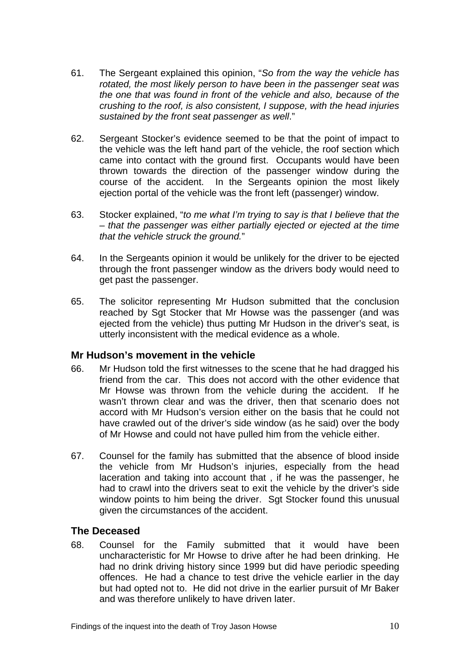- 61. The Sergeant explained this opinion, "*So from the way the vehicle has rotated, the most likely person to have been in the passenger seat was the one that was found in front of the vehicle and also, because of the crushing to the roof, is also consistent, I suppose, with the head injuries sustained by the front seat passenger as well*."
- 62. Sergeant Stocker's evidence seemed to be that the point of impact to the vehicle was the left hand part of the vehicle, the roof section which came into contact with the ground first. Occupants would have been thrown towards the direction of the passenger window during the course of the accident. In the Sergeants opinion the most likely ejection portal of the vehicle was the front left (passenger) window.
- 63. Stocker explained, "*to me what I'm trying to say is that I believe that the – that the passenger was either partially ejected or ejected at the time that the vehicle struck the ground.*"
- 64. In the Sergeants opinion it would be unlikely for the driver to be ejected through the front passenger window as the drivers body would need to get past the passenger.
- 65. The solicitor representing Mr Hudson submitted that the conclusion reached by Sgt Stocker that Mr Howse was the passenger (and was ejected from the vehicle) thus putting Mr Hudson in the driver's seat, is utterly inconsistent with the medical evidence as a whole.

#### **Mr Hudson's movement in the vehicle**

- 66. Mr Hudson told the first witnesses to the scene that he had dragged his friend from the car. This does not accord with the other evidence that Mr Howse was thrown from the vehicle during the accident. If he wasn't thrown clear and was the driver, then that scenario does not accord with Mr Hudson's version either on the basis that he could not have crawled out of the driver's side window (as he said) over the body of Mr Howse and could not have pulled him from the vehicle either.
- 67. Counsel for the family has submitted that the absence of blood inside the vehicle from Mr Hudson's injuries, especially from the head laceration and taking into account that , if he was the passenger, he had to crawl into the drivers seat to exit the vehicle by the driver's side window points to him being the driver. Sgt Stocker found this unusual given the circumstances of the accident.

#### **The Deceased**

68. Counsel for the Family submitted that it would have been uncharacteristic for Mr Howse to drive after he had been drinking. He had no drink driving history since 1999 but did have periodic speeding offences. He had a chance to test drive the vehicle earlier in the day but had opted not to. He did not drive in the earlier pursuit of Mr Baker and was therefore unlikely to have driven later.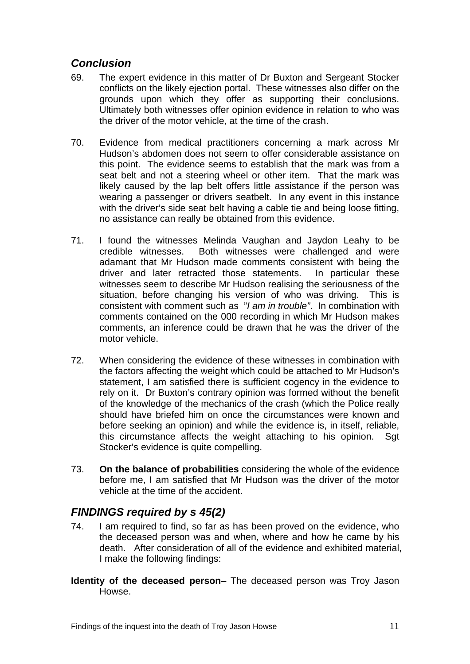# *Conclusion*

- 69. The expert evidence in this matter of Dr Buxton and Sergeant Stocker conflicts on the likely ejection portal. These witnesses also differ on the grounds upon which they offer as supporting their conclusions. Ultimately both witnesses offer opinion evidence in relation to who was the driver of the motor vehicle, at the time of the crash.
- 70. Evidence from medical practitioners concerning a mark across Mr Hudson's abdomen does not seem to offer considerable assistance on this point. The evidence seems to establish that the mark was from a seat belt and not a steering wheel or other item. That the mark was likely caused by the lap belt offers little assistance if the person was wearing a passenger or drivers seatbelt. In any event in this instance with the driver's side seat belt having a cable tie and being loose fitting, no assistance can really be obtained from this evidence.
- 71. I found the witnesses Melinda Vaughan and Jaydon Leahy to be credible witnesses. Both witnesses were challenged and were adamant that Mr Hudson made comments consistent with being the driver and later retracted those statements. In particular these witnesses seem to describe Mr Hudson realising the seriousness of the situation, before changing his version of who was driving. This is consistent with comment such as "*I am in trouble"*. In combination with comments contained on the 000 recording in which Mr Hudson makes comments, an inference could be drawn that he was the driver of the motor vehicle.
- 72. When considering the evidence of these witnesses in combination with the factors affecting the weight which could be attached to Mr Hudson's statement, I am satisfied there is sufficient cogency in the evidence to rely on it. Dr Buxton's contrary opinion was formed without the benefit of the knowledge of the mechanics of the crash (which the Police really should have briefed him on once the circumstances were known and before seeking an opinion) and while the evidence is, in itself, reliable, this circumstance affects the weight attaching to his opinion. Sgt Stocker's evidence is quite compelling.
- 73. **On the balance of probabilities** considering the whole of the evidence before me, I am satisfied that Mr Hudson was the driver of the motor vehicle at the time of the accident.

# *FINDINGS required by s 45(2)*

- 74. I am required to find, so far as has been proved on the evidence, who the deceased person was and when, where and how he came by his death. After consideration of all of the evidence and exhibited material, I make the following findings:
- **Identity of the deceased person** The deceased person was Troy Jason Howse.